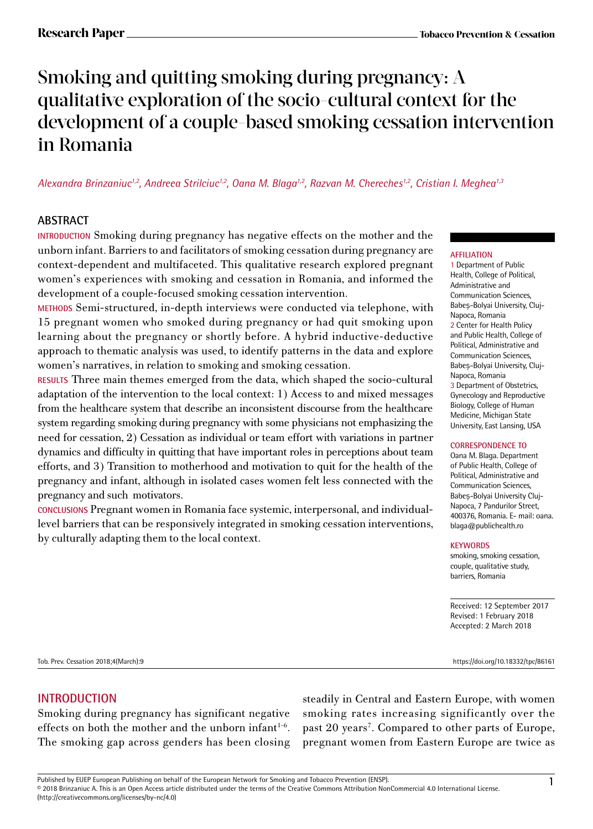# Smoking and quitting smoking during pregnancy: A qualitative exploration of the socio-cultural context for the development of a couple-based smoking cessation intervention in Romania

*Alexandra Brinzaniuc1,2, Andreea Strilciuc1,2, Oana M. Blaga1,2, Razvan M. Chereches1,2, Cristian I. Meghea1,3*

# **ABSTRACT**

**INTRODUCTION** Smoking during pregnancy has negative effects on the mother and the unborn infant. Barriers to and facilitators of smoking cessation during pregnancy are context-dependent and multifaceted. This qualitative research explored pregnant women's experiences with smoking and cessation in Romania, and informed the development of a couple-focused smoking cessation intervention.

**METHODS** Semi-structured, in-depth interviews were conducted via telephone, with 15 pregnant women who smoked during pregnancy or had quit smoking upon learning about the pregnancy or shortly before. A hybrid inductive-deductive approach to thematic analysis was used, to identify patterns in the data and explore women's narratives, in relation to smoking and smoking cessation.

**RESULTS** Three main themes emerged from the data, which shaped the socio-cultural adaptation of the intervention to the local context: 1) Access to and mixed messages from the healthcare system that describe an inconsistent discourse from the healthcare system regarding smoking during pregnancy with some physicians not emphasizing the need for cessation, 2) Cessation as individual or team effort with variations in partner dynamics and difficulty in quitting that have important roles in perceptions about team efforts, and 3) Transition to motherhood and motivation to quit for the health of the pregnancy and infant, although in isolated cases women felt less connected with the pregnancy and such motivators.

**CONCLUSIONS** Pregnant women in Romania face systemic, interpersonal, and individuallevel barriers that can be responsively integrated in smoking cessation interventions, by culturally adapting them to the local context.

#### **AFFILIATION**

1 Department of Public Health, College of Political, Administrative and Communication Sciences, Babeș-Bolyai University, Cluj-Napoca, Romania 2 Center for Health Policy and Public Health, College of Political, Administrative and Communication Sciences, Babeș-Bolyai University, Cluj-Napoca, Romania 3 Department of Obstetrics, Gynecology and Reproductive Biology, College of Human Medicine, Michigan State University, East Lansing, USA

#### **CORRESPONDENCE TO**

Oana M. Blaga. Department of Public Health, College of Political, Administrative and Communication Sciences, Babeș-Bolyai University Cluj-Napoca, 7 Pandurilor Street, 400376, Romania. E- mail: oana. blaga@publichealth.ro

#### **KEYWORDS**

smoking, smoking cessation, couple, qualitative study, barriers, Romania

Received: 12 September 2017 Revised: 1 February 2018 Accepted: 2 March 2018

Tob. Prev. Cessation 2018;4(March):9 https://doi.org/10.18332/tpc/86161

#### **INTRODUCTION**

Smoking during pregnancy has significant negative effects on both the mother and the unborn infant $1-6$ . The smoking gap across genders has been closing steadily in Central and Eastern Europe, with women smoking rates increasing significantly over the past 20 years<sup>7</sup>. Compared to other parts of Europe, pregnant women from Eastern Europe are twice as

(http://creativecommons.org/licenses/by-nc/4.0)

Published by EUEP European Publishing on behalf of the European Network for Smoking and Tobacco Prevention (ENSP).<br>© 2018 Brinzaniuc A. This is an Open Access article distributed under the terms of the Creative Commons At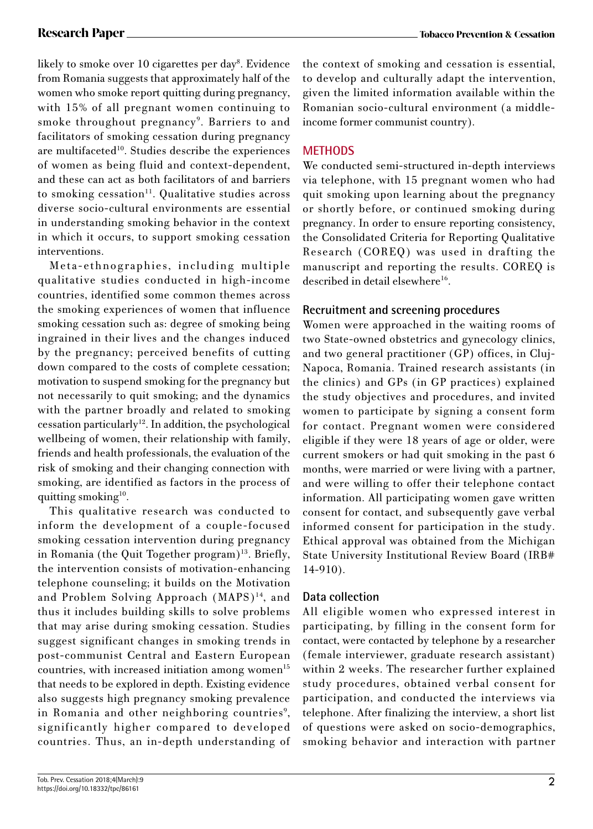likely to smoke over 10 cigarettes per day8 . Evidence from Romania suggests that approximately half of the women who smoke report quitting during pregnancy, with 15% of all pregnant women continuing to smoke throughout pregnancy<sup>9</sup>. Barriers to and facilitators of smoking cessation during pregnancy are multifaceted<sup>10</sup>. Studies describe the experiences of women as being fluid and context-dependent, and these can act as both facilitators of and barriers to smoking cessation<sup>11</sup>. Qualitative studies across diverse socio-cultural environments are essential in understanding smoking behavior in the context in which it occurs, to support smoking cessation interventions.

Meta-ethnographies, including multiple qualitative studies conducted in high-income countries, identified some common themes across the smoking experiences of women that influence smoking cessation such as: degree of smoking being ingrained in their lives and the changes induced by the pregnancy; perceived benefits of cutting down compared to the costs of complete cessation; motivation to suspend smoking for the pregnancy but not necessarily to quit smoking; and the dynamics with the partner broadly and related to smoking cessation particularly<sup>12</sup>. In addition, the psychological wellbeing of women, their relationship with family, friends and health professionals, the evaluation of the risk of smoking and their changing connection with smoking, are identified as factors in the process of quitting smoking<sup>10</sup>.

This qualitative research was conducted to inform the development of a couple-focused smoking cessation intervention during pregnancy in Romania (the Quit Together program)<sup>13</sup>. Briefly, the intervention consists of motivation-enhancing telephone counseling; it builds on the Motivation and Problem Solving Approach (MAPS)<sup>14</sup>, and thus it includes building skills to solve problems that may arise during smoking cessation. Studies suggest significant changes in smoking trends in post-communist Central and Eastern European countries, with increased initiation among women $15$ that needs to be explored in depth. Existing evidence also suggests high pregnancy smoking prevalence in Romania and other neighboring countries<sup>9</sup>, significantly higher compared to developed countries. Thus, an in-depth understanding of

the context of smoking and cessation is essential, to develop and culturally adapt the intervention, given the limited information available within the Romanian socio-cultural environment (a middleincome former communist country).

# **METHODS**

We conducted semi-structured in-depth interviews via telephone, with 15 pregnant women who had quit smoking upon learning about the pregnancy or shortly before, or continued smoking during pregnancy. In order to ensure reporting consistency, the Consolidated Criteria for Reporting Qualitative Research (COREQ) was used in drafting the manuscript and reporting the results. COREQ is described in detail elsewhere $^{16}$ .

# **Recruitment and screening procedures**

Women were approached in the waiting rooms of two State-owned obstetrics and gynecology clinics, and two general practitioner (GP) offices, in Cluj-Napoca, Romania. Trained research assistants (in the clinics) and GPs (in GP practices) explained the study objectives and procedures, and invited women to participate by signing a consent form for contact. Pregnant women were considered eligible if they were 18 years of age or older, were current smokers or had quit smoking in the past 6 months, were married or were living with a partner, and were willing to offer their telephone contact information. All participating women gave written consent for contact, and subsequently gave verbal informed consent for participation in the study. Ethical approval was obtained from the Michigan State University Institutional Review Board (IRB# 14-910).

# **Data collection**

All eligible women who expressed interest in participating, by filling in the consent form for contact, were contacted by telephone by a researcher (female interviewer, graduate research assistant) within 2 weeks. The researcher further explained study procedures, obtained verbal consent for participation, and conducted the interviews via telephone. After finalizing the interview, a short list of questions were asked on socio-demographics, smoking behavior and interaction with partner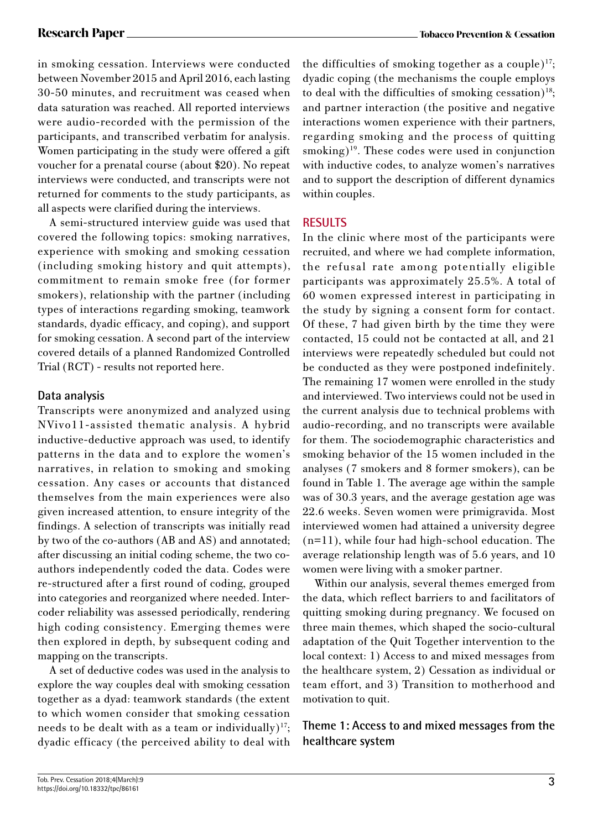in smoking cessation. Interviews were conducted between November 2015 and April 2016, each lasting 30-50 minutes, and recruitment was ceased when data saturation was reached. All reported interviews were audio-recorded with the permission of the participants, and transcribed verbatim for analysis. Women participating in the study were offered a gift voucher for a prenatal course (about \$20). No repeat interviews were conducted, and transcripts were not returned for comments to the study participants, as all aspects were clarified during the interviews.

A semi-structured interview guide was used that covered the following topics: smoking narratives, experience with smoking and smoking cessation (including smoking history and quit attempts), commitment to remain smoke free (for former smokers), relationship with the partner (including types of interactions regarding smoking, teamwork standards, dyadic efficacy, and coping), and support for smoking cessation. A second part of the interview covered details of a planned Randomized Controlled Trial (RCT) - results not reported here.

# **Data analysis**

Transcripts were anonymized and analyzed using NVivo11-assisted thematic analysis. A hybrid inductive-deductive approach was used, to identify patterns in the data and to explore the women's narratives, in relation to smoking and smoking cessation. Any cases or accounts that distanced themselves from the main experiences were also given increased attention, to ensure integrity of the findings. A selection of transcripts was initially read by two of the co-authors (AB and AS) and annotated; after discussing an initial coding scheme, the two coauthors independently coded the data. Codes were re-structured after a first round of coding, grouped into categories and reorganized where needed. Intercoder reliability was assessed periodically, rendering high coding consistency. Emerging themes were then explored in depth, by subsequent coding and mapping on the transcripts.

A set of deductive codes was used in the analysis to explore the way couples deal with smoking cessation together as a dyad: teamwork standards (the extent to which women consider that smoking cessation needs to be dealt with as a team or individually) $17$ ; dyadic efficacy (the perceived ability to deal with the difficulties of smoking together as a couple) $^{17}$ ; dyadic coping (the mechanisms the couple employs to deal with the difficulties of smoking cessation)<sup>18</sup>; and partner interaction (the positive and negative interactions women experience with their partners, regarding smoking and the process of quitting  $smoking)^{19}$ . These codes were used in conjunction with inductive codes, to analyze women's narratives and to support the description of different dynamics within couples.

# **RESULTS**

In the clinic where most of the participants were recruited, and where we had complete information, the refusal rate among potentially eligible participants was approximately 25.5%. A total of 60 women expressed interest in participating in the study by signing a consent form for contact. Of these, 7 had given birth by the time they were contacted, 15 could not be contacted at all, and 21 interviews were repeatedly scheduled but could not be conducted as they were postponed indefinitely. The remaining 17 women were enrolled in the study and interviewed. Two interviews could not be used in the current analysis due to technical problems with audio-recording, and no transcripts were available for them. The sociodemographic characteristics and smoking behavior of the 15 women included in the analyses (7 smokers and 8 former smokers), can be found in Table 1. The average age within the sample was of 30.3 years, and the average gestation age was 22.6 weeks. Seven women were primigravida. Most interviewed women had attained a university degree (n=11), while four had high-school education. The average relationship length was of 5.6 years, and 10 women were living with a smoker partner.

Within our analysis, several themes emerged from the data, which reflect barriers to and facilitators of quitting smoking during pregnancy. We focused on three main themes, which shaped the socio-cultural adaptation of the Quit Together intervention to the local context: 1) Access to and mixed messages from the healthcare system, 2) Cessation as individual or team effort, and 3) Transition to motherhood and motivation to quit.

**Theme 1: Access to and mixed messages from the healthcare system**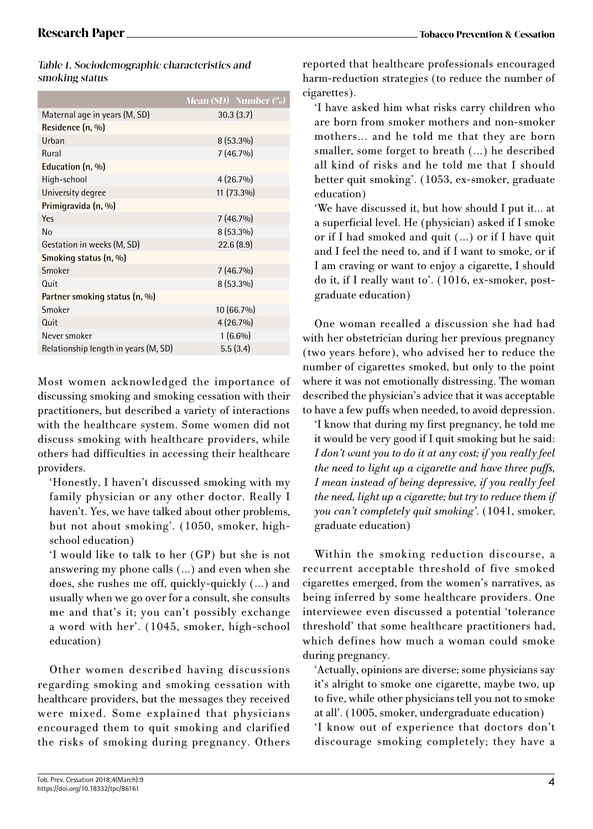| Table 1. Sociodemographic characteristics and |
|-----------------------------------------------|
| smoking status                                |

|                                      | Mean (SD)/Number (%) |
|--------------------------------------|----------------------|
| Maternal age in years (M, SD)        | 30.3(3.7)            |
| Residence (n, %)                     |                      |
| Urban                                | $8(53.3\%)$          |
| Rural                                | $7(46.7\%)$          |
| Education (n, %)                     |                      |
| High-school                          | $4(26.7\%)$          |
| University degree                    | 11 (73.3%)           |
| Primigravida (n, %)                  |                      |
| Yes                                  | $7(46.7\%)$          |
| N <sub>0</sub>                       | $8(53.3\%)$          |
| Gestation in weeks (M, SD)           | 22.6(8.9)            |
| Smoking status (n, %)                |                      |
| Smoker                               | $7(46.7\%)$          |
| Quit                                 | $8(53.3\%)$          |
| Partner smoking status (n, %)        |                      |
| Smoker                               | 10 (66.7%)           |
| Quit                                 | $4(26.7\%)$          |
| Never smoker                         | $1(6.6\%)$           |
| Relationship length in years (M, SD) | 5.5(3.4)             |
|                                      |                      |

Most women acknowledged the importance of discussing smoking and smoking cessation with their practitioners, but described a variety of interactions with the healthcare system. Some women did not discuss smoking with healthcare providers, while others had difficulties in accessing their healthcare providers.

'Honestly, I haven't discussed smoking with my family physician or any other doctor. Really I haven't. Yes, we have talked about other problems, but not about smoking'. (1050, smoker, highschool education)

'I would like to talk to her (GP) but she is not answering my phone calls (…) and even when she does, she rushes me off, quickly-quickly (…) and usually when we go over for a consult, she consults me and that's it; you can't possibly exchange a word with her'. (1045, smoker, high-school education)

Other women described having discussions regarding smoking and smoking cessation with healthcare providers, but the messages they received were mixed. Some explained that physicians encouraged them to quit smoking and clarified the risks of smoking during pregnancy. Others

reported that healthcare professionals encouraged harm-reduction strategies (to reduce the number of cigarettes).

'I have asked him what risks carry children who are born from smoker mothers and non-smoker mothers... and he told me that they are born smaller, some forget to breath (...) he described all kind of risks and he told me that I should better quit smoking'. (1053, ex-smoker, graduate education)

'We have discussed it, but how should I put it... at a superficial level. He (physician) asked if I smoke or if I had smoked and quit (...) or if I have quit and I feel the need to, and if I want to smoke, or if I am craving or want to enjoy a cigarette, I should do it, if I really want to'. (1016, ex-smoker, postgraduate education)

One woman recalled a discussion she had had with her obstetrician during her previous pregnancy (two years before), who advised her to reduce the number of cigarettes smoked, but only to the point where it was not emotionally distressing. The woman described the physician's advice that it was acceptable to have a few puffs when needed, to avoid depression.

'I know that during my first pregnancy, he told me it would be very good if I quit smoking but he said: *I don't want you to do it at any cost; if you really feel the need to light up a cigarette and have three puffs, I mean instead of being depressive, if you really feel the need, light up a cigarette; but try to reduce them if you can't completely quit smoking'*. (1041, smoker, graduate education)

Within the smoking reduction discourse, a recurrent acceptable threshold of five smoked cigarettes emerged, from the women's narratives, as being inferred by some healthcare providers. One interviewee even discussed a potential 'tolerance threshold' that some healthcare practitioners had, which defines how much a woman could smoke during pregnancy.

'Actually, opinions are diverse; some physicians say it's alright to smoke one cigarette, maybe two, up to five, while other physicians tell you not to smoke at all'. (1005, smoker, undergraduate education)

'I know out of experience that doctors don't discourage smoking completely; they have a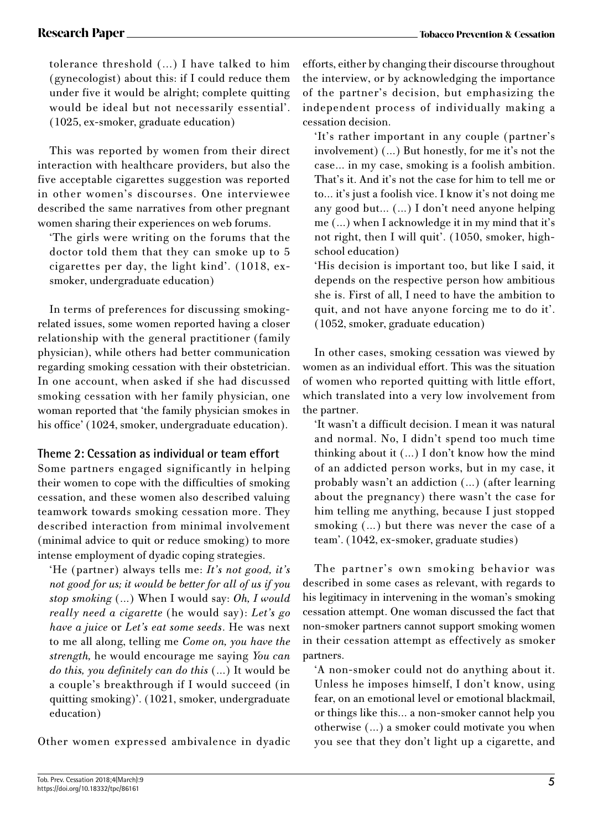tolerance threshold (...) I have talked to him (gynecologist) about this: if I could reduce them under five it would be alright; complete quitting would be ideal but not necessarily essential'. (1025, ex-smoker, graduate education)

This was reported by women from their direct interaction with healthcare providers, but also the five acceptable cigarettes suggestion was reported in other women's discourses. One interviewee described the same narratives from other pregnant women sharing their experiences on web forums.

'The girls were writing on the forums that the doctor told them that they can smoke up to 5 cigarettes per day, the light kind'. (1018, exsmoker, undergraduate education)

In terms of preferences for discussing smokingrelated issues, some women reported having a closer relationship with the general practitioner (family physician), while others had better communication regarding smoking cessation with their obstetrician. In one account, when asked if she had discussed smoking cessation with her family physician, one woman reported that 'the family physician smokes in his office' (1024, smoker, undergraduate education).

# **Theme 2: Cessation as individual or team effort**

Some partners engaged significantly in helping their women to cope with the difficulties of smoking cessation, and these women also described valuing teamwork towards smoking cessation more. They described interaction from minimal involvement (minimal advice to quit or reduce smoking) to more intense employment of dyadic coping strategies.

'He (partner) always tells me: *It's not good, it's not good for us; it would be better for all of us if you stop smoking* (…) When I would say: *Oh, I would really need a cigarette* (he would say): *Let's go have a juice* or *Let's eat some seeds*. He was next to me all along, telling me *Come on, you have the strength,* he would encourage me saying *You can do this, you definitely can do this* (…) It would be a couple's breakthrough if I would succeed (in quitting smoking)'. (1021, smoker, undergraduate education)

Other women expressed ambivalence in dyadic

efforts, either by changing their discourse throughout the interview, or by acknowledging the importance of the partner's decision, but emphasizing the independent process of individually making a cessation decision.

'It's rather important in any couple (partner's involvement) (…) But honestly, for me it's not the case… in my case, smoking is a foolish ambition. That's it. And it's not the case for him to tell me or to… it's just a foolish vice. I know it's not doing me any good but… (…) I don't need anyone helping me (…) when I acknowledge it in my mind that it's not right, then I will quit'. (1050, smoker, highschool education)

'His decision is important too, but like I said, it depends on the respective person how ambitious she is. First of all, I need to have the ambition to quit, and not have anyone forcing me to do it'. (1052, smoker, graduate education)

In other cases, smoking cessation was viewed by women as an individual effort. This was the situation of women who reported quitting with little effort, which translated into a very low involvement from the partner.

'It wasn't a difficult decision. I mean it was natural and normal. No, I didn't spend too much time thinking about it (…) I don't know how the mind of an addicted person works, but in my case, it probably wasn't an addiction (…) (after learning about the pregnancy) there wasn't the case for him telling me anything, because I just stopped smoking (…) but there was never the case of a team'. (1042, ex-smoker, graduate studies)

The partner's own smoking behavior was described in some cases as relevant, with regards to his legitimacy in intervening in the woman's smoking cessation attempt. One woman discussed the fact that non-smoker partners cannot support smoking women in their cessation attempt as effectively as smoker partners.

'A non-smoker could not do anything about it. Unless he imposes himself, I don't know, using fear, on an emotional level or emotional blackmail, or things like this… a non-smoker cannot help you otherwise (…) a smoker could motivate you when you see that they don't light up a cigarette, and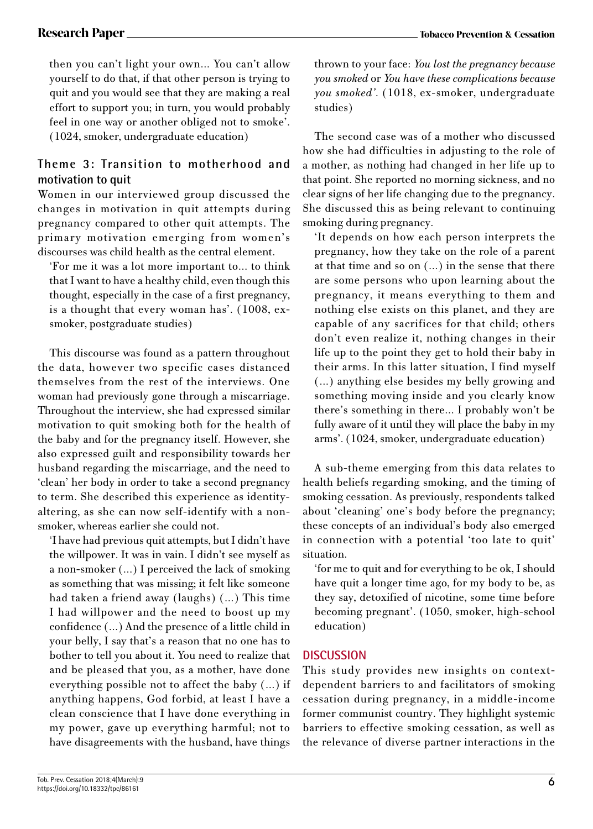then you can't light your own… You can't allow yourself to do that, if that other person is trying to quit and you would see that they are making a real effort to support you; in turn, you would probably feel in one way or another obliged not to smoke'. (1024, smoker, undergraduate education)

# **Theme 3: Transition to motherhood and motivation to quit**

Women in our interviewed group discussed the changes in motivation in quit attempts during pregnancy compared to other quit attempts. The primary motivation emerging from women's discourses was child health as the central element.

'For me it was a lot more important to… to think that I want to have a healthy child, even though this thought, especially in the case of a first pregnancy, is a thought that every woman has'. (1008, exsmoker, postgraduate studies)

This discourse was found as a pattern throughout the data, however two specific cases distanced themselves from the rest of the interviews. One woman had previously gone through a miscarriage. Throughout the interview, she had expressed similar motivation to quit smoking both for the health of the baby and for the pregnancy itself. However, she also expressed guilt and responsibility towards her husband regarding the miscarriage, and the need to 'clean' her body in order to take a second pregnancy to term. She described this experience as identityaltering, as she can now self-identify with a nonsmoker, whereas earlier she could not.

'I have had previous quit attempts, but I didn't have the willpower. It was in vain. I didn't see myself as a non-smoker (…) I perceived the lack of smoking as something that was missing; it felt like someone had taken a friend away (laughs) (…) This time I had willpower and the need to boost up my confidence (…) And the presence of a little child in your belly, I say that's a reason that no one has to bother to tell you about it. You need to realize that and be pleased that you, as a mother, have done everything possible not to affect the baby (…) if anything happens, God forbid, at least I have a clean conscience that I have done everything in my power, gave up everything harmful; not to have disagreements with the husband, have things

thrown to your face: *You lost the pregnancy because you smoked* or *You have these complications because you smoked'*. (1018, ex-smoker, undergraduate studies)

The second case was of a mother who discussed how she had difficulties in adjusting to the role of a mother, as nothing had changed in her life up to that point. She reported no morning sickness, and no clear signs of her life changing due to the pregnancy. She discussed this as being relevant to continuing smoking during pregnancy.

'It depends on how each person interprets the pregnancy, how they take on the role of a parent at that time and so on (…) in the sense that there are some persons who upon learning about the pregnancy, it means everything to them and nothing else exists on this planet, and they are capable of any sacrifices for that child; others don't even realize it, nothing changes in their life up to the point they get to hold their baby in their arms. In this latter situation, I find myself (…) anything else besides my belly growing and something moving inside and you clearly know there's something in there… I probably won't be fully aware of it until they will place the baby in my arms'. (1024, smoker, undergraduate education)

A sub-theme emerging from this data relates to health beliefs regarding smoking, and the timing of smoking cessation. As previously, respondents talked about 'cleaning' one's body before the pregnancy; these concepts of an individual's body also emerged in connection with a potential 'too late to quit' situation.

'for me to quit and for everything to be ok, I should have quit a longer time ago, for my body to be, as they say, detoxified of nicotine, some time before becoming pregnant'. (1050, smoker, high-school education)

# **DISCUSSION**

This study provides new insights on contextdependent barriers to and facilitators of smoking cessation during pregnancy, in a middle-income former communist country. They highlight systemic barriers to effective smoking cessation, as well as the relevance of diverse partner interactions in the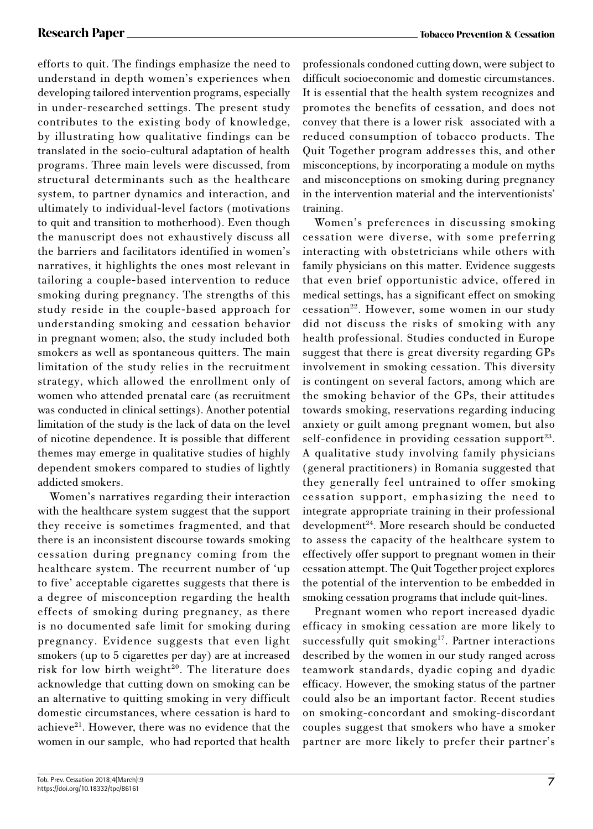efforts to quit. The findings emphasize the need to understand in depth women's experiences when developing tailored intervention programs, especially in under-researched settings. The present study contributes to the existing body of knowledge, by illustrating how qualitative findings can be translated in the socio-cultural adaptation of health programs. Three main levels were discussed, from structural determinants such as the healthcare system, to partner dynamics and interaction, and ultimately to individual-level factors (motivations to quit and transition to motherhood). Even though the manuscript does not exhaustively discuss all the barriers and facilitators identified in women's narratives, it highlights the ones most relevant in tailoring a couple-based intervention to reduce smoking during pregnancy. The strengths of this study reside in the couple-based approach for understanding smoking and cessation behavior in pregnant women; also, the study included both smokers as well as spontaneous quitters. The main limitation of the study relies in the recruitment strategy, which allowed the enrollment only of women who attended prenatal care (as recruitment was conducted in clinical settings). Another potential limitation of the study is the lack of data on the level of nicotine dependence. It is possible that different themes may emerge in qualitative studies of highly dependent smokers compared to studies of lightly addicted smokers.

Women's narratives regarding their interaction with the healthcare system suggest that the support they receive is sometimes fragmented, and that there is an inconsistent discourse towards smoking cessation during pregnancy coming from the healthcare system. The recurrent number of 'up to five' acceptable cigarettes suggests that there is a degree of misconception regarding the health effects of smoking during pregnancy, as there is no documented safe limit for smoking during pregnancy. Evidence suggests that even light smokers (up to 5 cigarettes per day) are at increased risk for low birth weight<sup>20</sup>. The literature does acknowledge that cutting down on smoking can be an alternative to quitting smoking in very difficult domestic circumstances, where cessation is hard to achieve<sup>21</sup>. However, there was no evidence that the women in our sample, who had reported that health

professionals condoned cutting down, were subject to difficult socioeconomic and domestic circumstances. It is essential that the health system recognizes and promotes the benefits of cessation, and does not convey that there is a lower risk associated with a reduced consumption of tobacco products. The Quit Together program addresses this, and other misconceptions, by incorporating a module on myths and misconceptions on smoking during pregnancy in the intervention material and the interventionists' training.

Women's preferences in discussing smoking cessation were diverse, with some preferring interacting with obstetricians while others with family physicians on this matter. Evidence suggests that even brief opportunistic advice, offered in medical settings, has a significant effect on smoking cessation<sup>22</sup>. However, some women in our study did not discuss the risks of smoking with any health professional. Studies conducted in Europe suggest that there is great diversity regarding GPs involvement in smoking cessation. This diversity is contingent on several factors, among which are the smoking behavior of the GPs, their attitudes towards smoking, reservations regarding inducing anxiety or guilt among pregnant women, but also self-confidence in providing cessation support $^{23}$ . A qualitative study involving family physicians (general practitioners) in Romania suggested that they generally feel untrained to offer smoking cessation support, emphasizing the need to integrate appropriate training in their professional development24. More research should be conducted to assess the capacity of the healthcare system to effectively offer support to pregnant women in their cessation attempt. The Quit Together project explores the potential of the intervention to be embedded in smoking cessation programs that include quit-lines.

Pregnant women who report increased dyadic efficacy in smoking cessation are more likely to successfully quit smoking<sup>17</sup>. Partner interactions described by the women in our study ranged across teamwork standards, dyadic coping and dyadic efficacy. However, the smoking status of the partner could also be an important factor. Recent studies on smoking-concordant and smoking-discordant couples suggest that smokers who have a smoker partner are more likely to prefer their partner's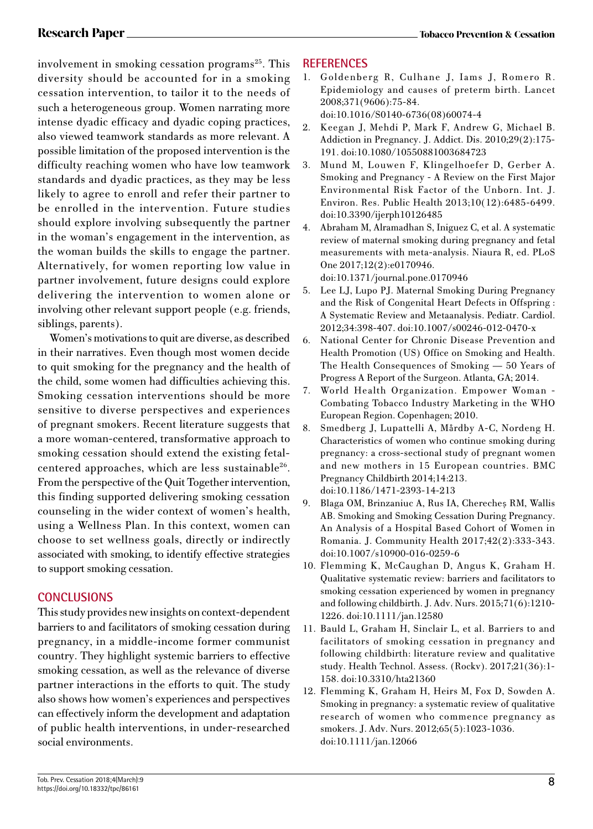involvement in smoking cessation programs<sup>25</sup>. This diversity should be accounted for in a smoking cessation intervention, to tailor it to the needs of such a heterogeneous group. Women narrating more intense dyadic efficacy and dyadic coping practices, also viewed teamwork standards as more relevant. A possible limitation of the proposed intervention is the difficulty reaching women who have low teamwork standards and dyadic practices, as they may be less likely to agree to enroll and refer their partner to be enrolled in the intervention. Future studies should explore involving subsequently the partner in the woman's engagement in the intervention, as the woman builds the skills to engage the partner. Alternatively, for women reporting low value in partner involvement, future designs could explore delivering the intervention to women alone or involving other relevant support people (e.g. friends, siblings, parents).

Women's motivations to quit are diverse, as described in their narratives. Even though most women decide to quit smoking for the pregnancy and the health of the child, some women had difficulties achieving this. Smoking cessation interventions should be more sensitive to diverse perspectives and experiences of pregnant smokers. Recent literature suggests that a more woman-centered, transformative approach to smoking cessation should extend the existing fetalcentered approaches, which are less sustainable<sup>26</sup>. From the perspective of the Quit Together intervention, this finding supported delivering smoking cessation counseling in the wider context of women's health, using a Wellness Plan. In this context, women can choose to set wellness goals, directly or indirectly associated with smoking, to identify effective strategies to support smoking cessation.

# **CONCLUSIONS**

This study provides new insights on context-dependent barriers to and facilitators of smoking cessation during pregnancy, in a middle-income former communist country. They highlight systemic barriers to effective smoking cessation, as well as the relevance of diverse partner interactions in the efforts to quit. The study also shows how women's experiences and perspectives can effectively inform the development and adaptation of public health interventions, in under-researched social environments.

# **REFERENCES**

1. Goldenberg R, Culhane J, Iams J, Romero R. Epidemiology and causes of preterm birth. Lancet 2008;371(9606):75-84. doi:10.1016/S0140-6736(08)60074-4

2. Keegan J, Mehdi P, Mark F, Andrew G, Michael B. Addiction in Pregnancy. J. Addict. Dis. 2010;29(2):175- 191. doi:10.1080/10550881003684723

- 3. Mund M, Louwen F, Klingelhoefer D, Gerber A. Smoking and Pregnancy - A Review on the First Major Environmental Risk Factor of the Unborn. Int. J. Environ. Res. Public Health 2013;10(12):6485-6499. doi:10.3390/ijerph10126485
- 4. Abraham M, Alramadhan S, Iniguez C, et al. A systematic review of maternal smoking during pregnancy and fetal measurements with meta-analysis. Niaura R, ed. PLoS One 2017;12(2):e0170946. doi:10.1371/journal.pone.0170946
- 5. Lee LJ, Lupo PJ. Maternal Smoking During Pregnancy and the Risk of Congenital Heart Defects in Offspring : A Systematic Review and Metaanalysis. Pediatr. Cardiol. 2012;34:398-407. doi:10.1007/s00246-012-0470-x
- 6. National Center for Chronic Disease Prevention and Health Promotion (US) Office on Smoking and Health. The Health Consequences of Smoking — 50 Years of Progress A Report of the Surgeon. Atlanta, GA; 2014.
- 7. World Health Organization. Empower Woman Combating Tobacco Industry Marketing in the WHO European Region. Copenhagen; 2010.
- 8. Smedberg J, Lupattelli A, Mårdby A-C, Nordeng H. Characteristics of women who continue smoking during pregnancy: a cross-sectional study of pregnant women and new mothers in 15 European countries. BMC Pregnancy Childbirth 2014;14:213. doi:10.1186/1471-2393-14-213
- 9. Blaga OM, Brinzaniuc A, Rus IA, Cherecheș RM, Wallis AB. Smoking and Smoking Cessation During Pregnancy. An Analysis of a Hospital Based Cohort of Women in Romania. J. Community Health 2017;42(2):333-343. doi:10.1007/s10900-016-0259-6
- 10. Flemming K, McCaughan D, Angus K, Graham H. Qualitative systematic review: barriers and facilitators to smoking cessation experienced by women in pregnancy and following childbirth. J. Adv. Nurs. 2015;71(6):1210- 1226. doi:10.1111/jan.12580
- 11. Bauld L, Graham H, Sinclair L, et al. Barriers to and facilitators of smoking cessation in pregnancy and following childbirth: literature review and qualitative study. Health Technol. Assess. (Rockv). 2017;21(36):1- 158. doi:10.3310/hta21360
- 12. Flemming K, Graham H, Heirs M, Fox D, Sowden A. Smoking in pregnancy: a systematic review of qualitative research of women who commence pregnancy as smokers. J. Adv. Nurs. 2012;65(5):1023-1036. doi:10.1111/jan.12066